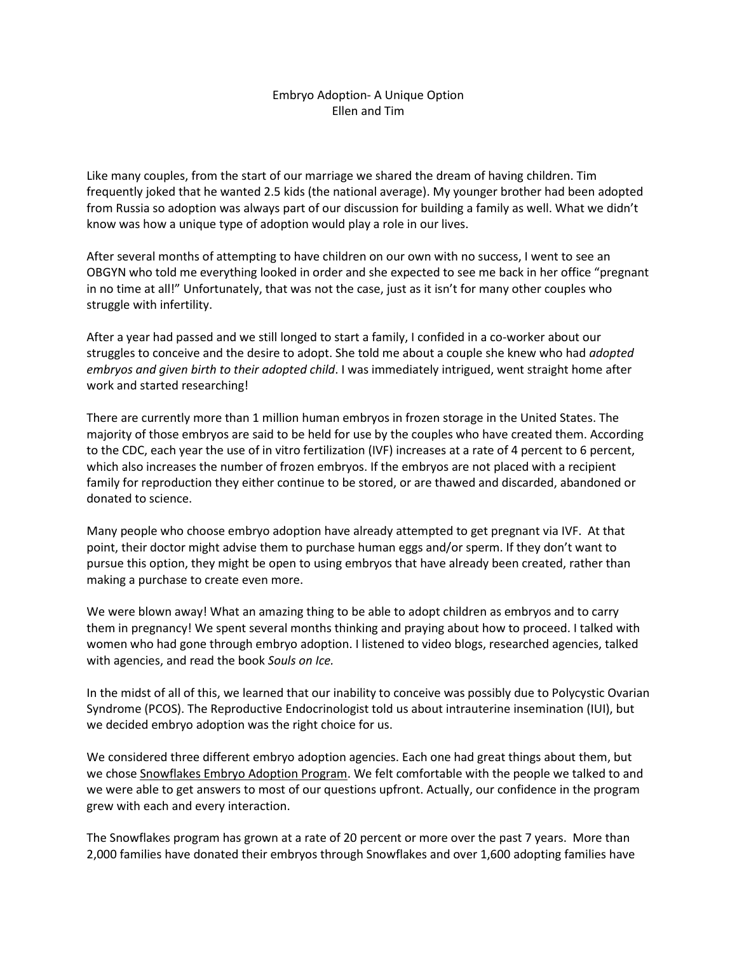## Embryo Adoption- A Unique Option Ellen and Tim

Like many couples, from the start of our marriage we shared the dream of having children. Tim frequently joked that he wanted 2.5 kids (the national average). My younger brother had been adopted from Russia so adoption was always part of our discussion for building a family as well. What we didn't know was how a unique type of adoption would play a role in our lives.

After several months of attempting to have children on our own with no success, I went to see an OBGYN who told me everything looked in order and she expected to see me back in her office "pregnant in no time at all!" Unfortunately, that was not the case, just as it isn't for many other couples who struggle with infertility.

After a year had passed and we still longed to start a family, I confided in a co-worker about our struggles to conceive and the desire to adopt. She told me about a couple she knew who had *adopted embryos and given birth to their adopted child*. I was immediately intrigued, went straight home after work and started researching!

There are currently more than 1 million human embryos in frozen storage in the United States. The majority of those embryos are said to be held for use by the couples who have created them. According to the CDC, each year the use of in vitro fertilization (IVF) increases at a rate of 4 percent to 6 percent, which also increases the number of frozen embryos. If the embryos are not placed with a recipient family for reproduction they either continue to be stored, or are thawed and discarded, abandoned or donated to science.

Many people who choose embryo adoption have already attempted to get pregnant via IVF. At that point, their doctor might advise them to purchase human eggs and/or sperm. If they don't want to pursue this option, they might be open to using embryos that have already been created, rather than making a purchase to create even more.

We were blown away! What an amazing thing to be able to adopt children as embryos and to carry them in pregnancy! We spent several months thinking and praying about how to proceed. I talked with women who had gone through embryo adoption. I listened to video blogs, researched agencies, talked with agencies, and read the book *Souls on Ice.*

In the midst of all of this, we learned that our inability to conceive was possibly due to Polycystic Ovarian Syndrome (PCOS). The Reproductive Endocrinologist told us about intrauterine insemination (IUI), but we decided embryo adoption was the right choice for us.

We considered three different embryo adoption agencies. Each one had great things about them, but we chose [Snowflakes Embryo Adoption Program.](https://nightlight.org/snowflakes-embryo-adoption-donation/embryo-adoption/) We felt comfortable with the people we talked to and we were able to get answers to most of our questions upfront. Actually, our confidence in the program grew with each and every interaction.

The Snowflakes program has grown at a rate of 20 percent or more over the past 7 years. More than 2,000 families have donated their embryos through Snowflakes and over 1,600 adopting families have